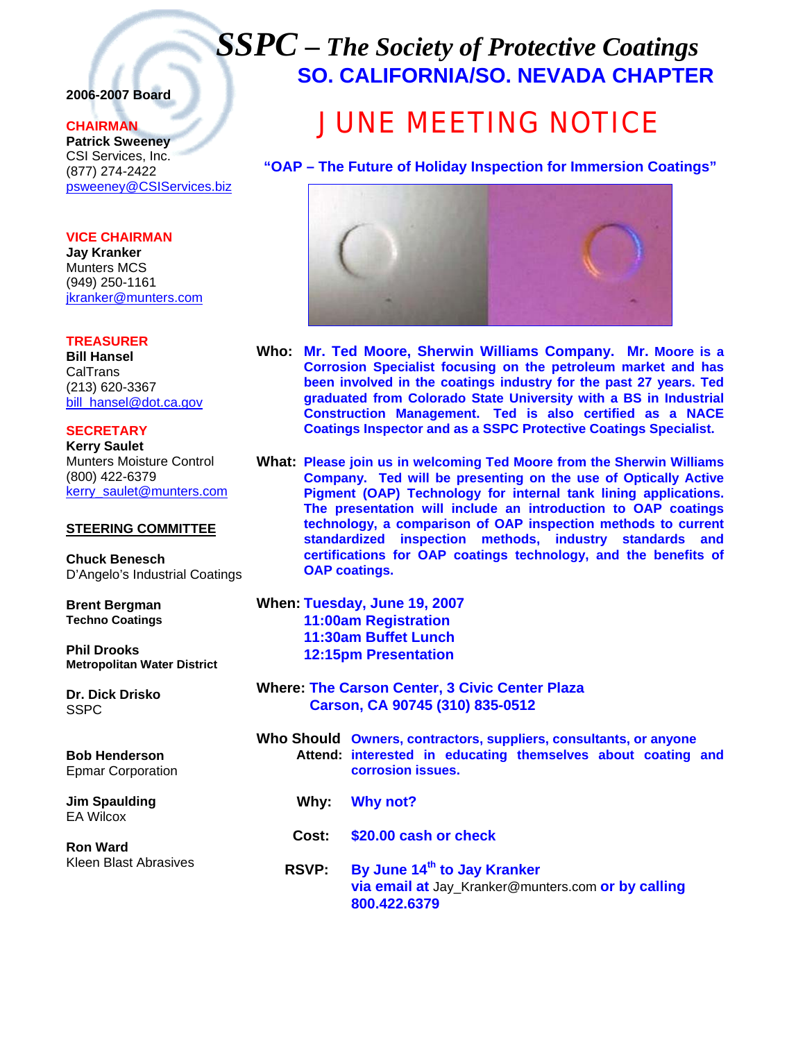## *SSPC – The Society of Protective Coatings* **SO. CALIFORNIA/SO. NEVADA CHAPTER**

### **2006-2007 Board**

### **CHAIRMAN**

**Patrick Sweeney** CSI Services, Inc. (877) 274-2422 psweeney@CSIServices.biz

**VICE CHAIRMAN Jay Kranker** Munters MCS (949) 250-1161 jkranker@munters.com

### **TREASURER**

**Bill Hansel** CalTrans (213) 620-3367 bill\_hansel@dot.ca.gov

**SECRETARY Kerry Saulet** Munters Moisture Control (800) 422-6379 kerry\_saulet@munters.com

#### **STEERING COMMITTEE**

**Chuck Benesch**  D'Angelo's Industrial Coatings

**Brent Bergman Techno Coatings**

**Phil Drooks Metropolitan Water District**

**Dr. Dick Drisko SSPC** 

**Bob Henderson**  Epmar Corporation

**Jim Spaulding**  EA Wilcox

**Ron Ward**  Kleen Blast Abrasives

# JUNE MEETING NOTICE

**"OAP – The Future of Holiday Inspection for Immersion Coatings"**



- **Who: Mr. Ted Moore, Sherwin Williams Company. Mr. Moore is a Corrosion Specialist focusing on the petroleum market and has been involved in the coatings industry for the past 27 years. Ted graduated from Colorado State University with a BS in Industrial Construction Management. Ted is also certified as a NACE Coatings Inspector and as a SSPC Protective Coatings Specialist.**
- **What: Please join us in welcoming Ted Moore from the Sherwin Williams Company. Ted will be presenting on the use of Optically Active Pigment (OAP) Technology for internal tank lining applications. The presentation will include an introduction to OAP coatings technology, a comparison of OAP inspection methods to current standardized inspection methods, industry standards and certifications for OAP coatings technology, and the benefits of OAP coatings.**

**When: Tuesday, June 19, 2007 11:00am Registration 11:30am Buffet Lunch 12:15pm Presentation** 

- **Where: The Carson Center, 3 Civic Center Plaza Carson, CA 90745 (310) 835-0512**
- **Who Should Owners, contractors, suppliers, consultants, or anyone Attend: interested in educating themselves about coating and corrosion issues.** 
	- **Why: Why not?**
	- **Cost: \$20.00 cash or check**
	- **RSVP: By June 14th to Jay Kranker via email at** Jay\_Kranker@munters.com **or by calling 800.422.6379**